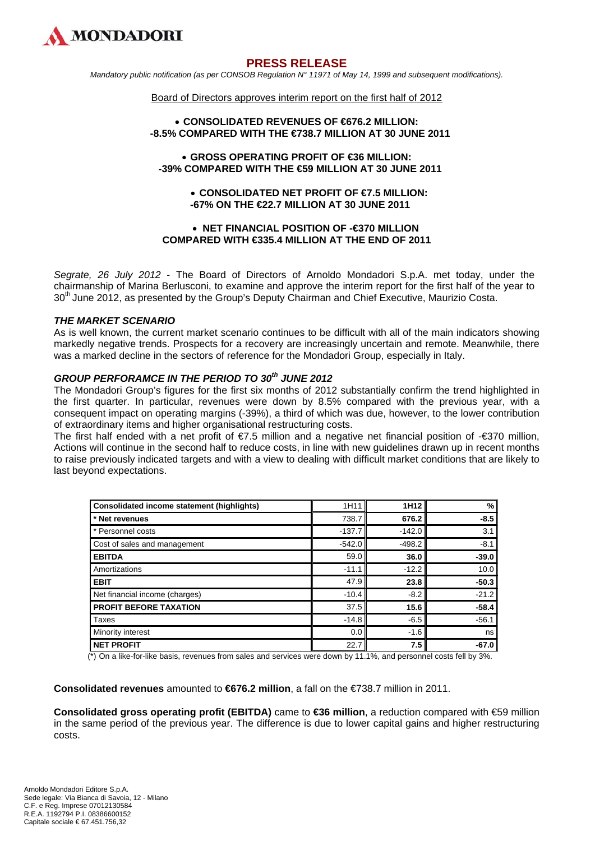

# **PRESS RELEASE**

*Mandatory public notification (as per CONSOB Regulation N° 11971 of May 14, 1999 and subsequent modifications).* 

#### Board of Directors approves interim report on the first half of 2012

#### **CONSOLIDATED REVENUES OF €676.2 MILLION: -8.5% COMPARED WITH THE €738.7 MILLION AT 30 JUNE 2011**

#### **GROSS OPERATING PROFIT OF €36 MILLION: -39% COMPARED WITH THE €59 MILLION AT 30 JUNE 2011**

## **CONSOLIDATED NET PROFIT OF €7.5 MILLION: -67% ON THE €22.7 MILLION AT 30 JUNE 2011**

## **• NET FINANCIAL POSITION OF -€370 MILLION COMPARED WITH €335.4 MILLION AT THE END OF 2011**

*Segrate, 26 July 2012* - The Board of Directors of Arnoldo Mondadori S.p.A. met today, under the chairmanship of Marina Berlusconi, to examine and approve the interim report for the first half of the year to 30<sup>th</sup> June 2012, as presented by the Group's Deputy Chairman and Chief Executive, Maurizio Costa.

#### *THE MARKET SCENARIO*

As is well known, the current market scenario continues to be difficult with all of the main indicators showing markedly negative trends. Prospects for a recovery are increasingly uncertain and remote. Meanwhile, there was a marked decline in the sectors of reference for the Mondadori Group, especially in Italy.

## *GROUP PERFORAMCE IN THE PERIOD TO 30th JUNE 2012*

The Mondadori Group's figures for the first six months of 2012 substantially confirm the trend highlighted in the first quarter. In particular, revenues were down by 8.5% compared with the previous year, with a consequent impact on operating margins (-39%), a third of which was due, however, to the lower contribution of extraordinary items and higher organisational restructuring costs.

The first half ended with a net profit of €7.5 million and a negative net financial position of -€370 million, Actions will continue in the second half to reduce costs, in line with new guidelines drawn up in recent months to raise previously indicated targets and with a view to dealing with difficult market conditions that are likely to last beyond expectations.

| <b>Consolidated income statement (highlights)</b> | 1H11     | 1H <sub>12</sub> | %       |
|---------------------------------------------------|----------|------------------|---------|
| * Net revenues                                    | 738.7    | 676.2            | $-8.5$  |
| * Personnel costs                                 | $-137.7$ | $-142.0$         | 3.1     |
| Cost of sales and management                      | $-542.0$ | $-498.2$         | $-8.1$  |
| <b>EBITDA</b>                                     | 59.0     | 36.0             | $-39.0$ |
| Amortizations                                     | $-11.1$  | $-12.2$          | 10.0    |
| <b>EBIT</b>                                       | 47.9     | 23.8             | $-50.3$ |
| Net financial income (charges)                    | $-10.4$  | $-8.2$           | $-21.2$ |
| <b>PROFIT BEFORE TAXATION</b>                     | 37.5     | 15.6             | $-58.4$ |
| Taxes                                             | $-14.8$  | $-6.5$           | $-56.1$ |
| Minority interest                                 | 0.0      | $-1.6$           | ns      |
| <b>NET PROFIT</b>                                 | 22.7     | 7.5              | $-67.0$ |

 $(*)$  On a like-for-like basis, revenues from sales and services were down by 11.1%, and personnel costs fell by 3%.

**Consolidated revenues** amounted to **€676.2 million**, a fall on the €738.7 million in 2011.

**Consolidated gross operating profit (EBITDA)** came to **€36 million**, a reduction compared with €59 million in the same period of the previous year. The difference is due to lower capital gains and higher restructuring costs.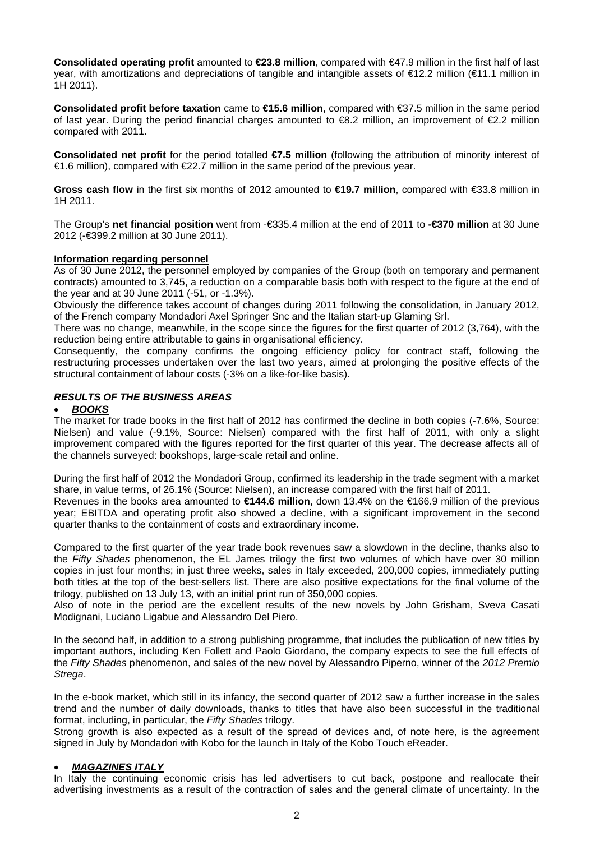**Consolidated operating profit** amounted to **€23.8 million**, compared with €47.9 million in the first half of last year, with amortizations and depreciations of tangible and intangible assets of €12.2 million (€11.1 million in 1H 2011).

**Consolidated profit before taxation** came to **€15.6 million**, compared with €37.5 million in the same period of last year. During the period financial charges amounted to  $\epsilon$ 8.2 million, an improvement of  $\epsilon$ 2.2 million compared with 2011.

**Consolidated net profit** for the period totalled **€7.5 million** (following the attribution of minority interest of €1.6 million), compared with €22.7 million in the same period of the previous year.

**Gross cash flow** in the first six months of 2012 amounted to **€19.7 million**, compared with €33.8 million in 1H 2011.

The Group's **net financial position** went from -€335.4 million at the end of 2011 to **-€370 million** at 30 June 2012 (-€399.2 million at 30 June 2011).

## **Information regarding personnel**

As of 30 June 2012, the personnel employed by companies of the Group (both on temporary and permanent contracts) amounted to 3,745, a reduction on a comparable basis both with respect to the figure at the end of the year and at 30 June 2011 (-51, or -1.3%).

Obviously the difference takes account of changes during 2011 following the consolidation, in January 2012, of the French company Mondadori Axel Springer Snc and the Italian start-up Glaming Srl.

There was no change, meanwhile, in the scope since the figures for the first quarter of 2012 (3,764), with the reduction being entire attributable to gains in organisational efficiency.

Consequently, the company confirms the ongoing efficiency policy for contract staff, following the restructuring processes undertaken over the last two years, aimed at prolonging the positive effects of the structural containment of labour costs (-3% on a like-for-like basis).

## *RESULTS OF THE BUSINESS AREAS*

#### *BOOKS*

The market for trade books in the first half of 2012 has confirmed the decline in both copies (-7.6%, Source: Nielsen) and value (-9.1%, Source: Nielsen) compared with the first half of 2011, with only a slight improvement compared with the figures reported for the first quarter of this year. The decrease affects all of the channels surveyed: bookshops, large-scale retail and online.

During the first half of 2012 the Mondadori Group, confirmed its leadership in the trade segment with a market share, in value terms, of 26.1% (Source: Nielsen), an increase compared with the first half of 2011.

Revenues in the books area amounted to **€144.6 million**, down 13.4% on the €166.9 million of the previous year; EBITDA and operating profit also showed a decline, with a significant improvement in the second quarter thanks to the containment of costs and extraordinary income.

Compared to the first quarter of the year trade book revenues saw a slowdown in the decline, thanks also to the *Fifty Shades* phenomenon, the EL James trilogy the first two volumes of which have over 30 million copies in just four months; in just three weeks, sales in Italy exceeded, 200,000 copies, immediately putting both titles at the top of the best-sellers list. There are also positive expectations for the final volume of the trilogy, published on 13 July 13, with an initial print run of 350,000 copies.

Also of note in the period are the excellent results of the new novels by John Grisham, Sveva Casati Modignani, Luciano Ligabue and Alessandro Del Piero.

In the second half, in addition to a strong publishing programme, that includes the publication of new titles by important authors, including Ken Follett and Paolo Giordano, the company expects to see the full effects of the *Fifty Shades* phenomenon, and sales of the new novel by Alessandro Piperno, winner of the *2012 Premio Strega*.

In the e-book market, which still in its infancy, the second quarter of 2012 saw a further increase in the sales trend and the number of daily downloads, thanks to titles that have also been successful in the traditional format, including, in particular, the *Fifty Shades* trilogy.

Strong growth is also expected as a result of the spread of devices and, of note here, is the agreement signed in July by Mondadori with Kobo for the launch in Italy of the Kobo Touch eReader.

#### *MAGAZINES ITALY*

In Italy the continuing economic crisis has led advertisers to cut back, postpone and reallocate their advertising investments as a result of the contraction of sales and the general climate of uncertainty. In the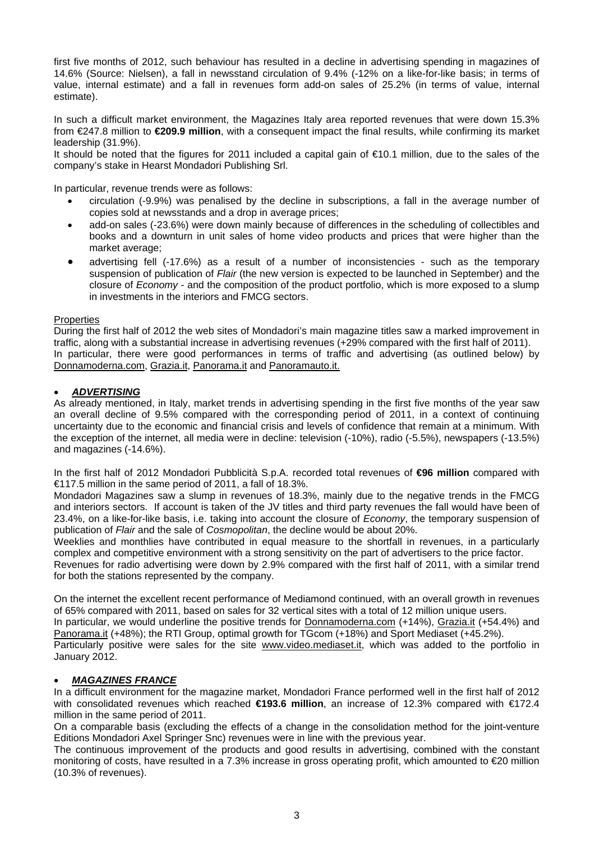first five months of 2012, such behaviour has resulted in a decline in advertising spending in magazines of 14.6% (Source: Nielsen), a fall in newsstand circulation of 9.4% (-12% on a like-for-like basis; in terms of value, internal estimate) and a fall in revenues form add-on sales of 25.2% (in terms of value, internal estimate).

In such a difficult market environment, the Magazines Italy area reported revenues that were down 15.3% from €247.8 million to **€209.9 million**, with a consequent impact the final results, while confirming its market leadership (31.9%).

It should be noted that the figures for 2011 included a capital gain of €10.1 million, due to the sales of the company's stake in Hearst Mondadori Publishing Srl.

In particular, revenue trends were as follows:

- circulation (-9.9%) was penalised by the decline in subscriptions, a fall in the average number of copies sold at newsstands and a drop in average prices;
- add-on sales (-23.6%) were down mainly because of differences in the scheduling of collectibles and books and a downturn in unit sales of home video products and prices that were higher than the market average;
- advertising fell (-17.6%) as a result of a number of inconsistencies such as the temporary suspension of publication of *Flair* (the new version is expected to be launched in September) and the closure of *Economy* - and the composition of the product portfolio, which is more exposed to a slump in investments in the interiors and FMCG sectors.

## **Properties**

During the first half of 2012 the web sites of Mondadori's main magazine titles saw a marked improvement in traffic, along with a substantial increase in advertising revenues (+29% compared with the first half of 2011). In particular, there were good performances in terms of traffic and advertising (as outlined below) by Donnamoderna.com, Grazia.it, Panorama.it and Panoramauto.it.

## *ADVERTISING*

As already mentioned, in Italy, market trends in advertising spending in the first five months of the year saw an overall decline of 9.5% compared with the corresponding period of 2011, in a context of continuing uncertainty due to the economic and financial crisis and levels of confidence that remain at a minimum. With the exception of the internet, all media were in decline: television (-10%), radio (-5.5%), newspapers (-13.5%) and magazines (-14.6%).

In the first half of 2012 Mondadori Pubblicità S.p.A. recorded total revenues of **€96 million** compared with €117.5 million in the same period of 2011, a fall of 18.3%.

Mondadori Magazines saw a slump in revenues of 18.3%, mainly due to the negative trends in the FMCG and interiors sectors. If account is taken of the JV titles and third party revenues the fall would have been of 23.4%, on a like-for-like basis, i.e. taking into account the closure of *Economy*, the temporary suspension of publication of *Flair* and the sale of *Cosmopolitan*, the decline would be about 20%.

Weeklies and monthlies have contributed in equal measure to the shortfall in revenues, in a particularly complex and competitive environment with a strong sensitivity on the part of advertisers to the price factor.

Revenues for radio advertising were down by 2.9% compared with the first half of 2011, with a similar trend for both the stations represented by the company.

On the internet the excellent recent performance of Mediamond continued, with an overall growth in revenues of 65% compared with 2011, based on sales for 32 vertical sites with a total of 12 million unique users. In particular, we would underline the positive trends for Donnamoderna.com (+14%), Grazia.it (+54.4%) and Panorama.it (+48%); the RTI Group, optimal growth for TGcom (+18%) and Sport Mediaset (+45.2%). Particularly positive were sales for the site www.video.mediaset.it, which was added to the portfolio in January 2012.

## *MAGAZINES FRANCE*

In a difficult environment for the magazine market, Mondadori France performed well in the first half of 2012 with consolidated revenues which reached **€193.6 million**, an increase of 12.3% compared with €172.4 million in the same period of 2011.

On a comparable basis (excluding the effects of a change in the consolidation method for the joint-venture Editions Mondadori Axel Springer Snc) revenues were in line with the previous year.

The continuous improvement of the products and good results in advertising, combined with the constant monitoring of costs, have resulted in a 7.3% increase in gross operating profit, which amounted to €20 million (10.3% of revenues).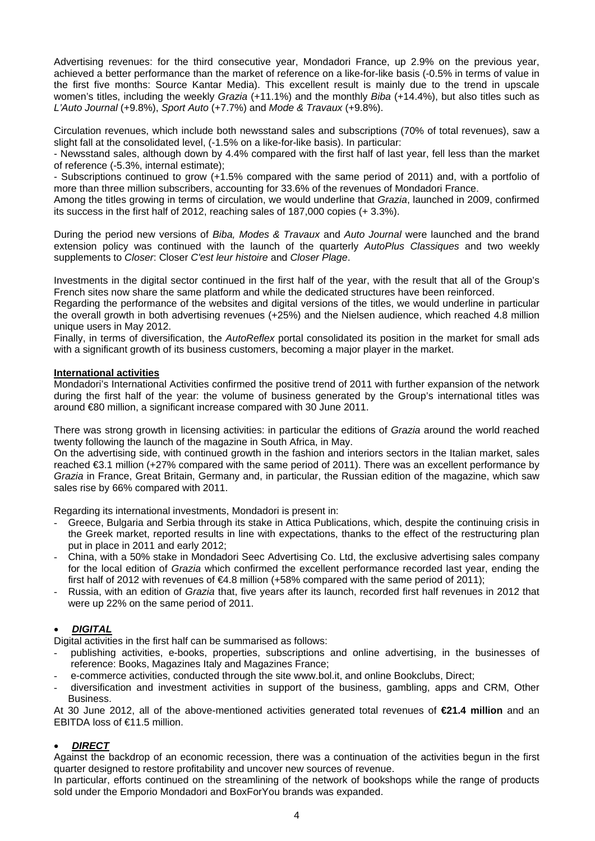Advertising revenues: for the third consecutive year, Mondadori France, up 2.9% on the previous year, achieved a better performance than the market of reference on a like-for-like basis (-0.5% in terms of value in the first five months: Source Kantar Media). This excellent result is mainly due to the trend in upscale women's titles, including the weekly *Grazia* (+11.1%) and the monthly *Biba* (+14.4%), but also titles such as *L'Auto Journal* (+9.8%), *Sport Auto* (+7.7%) and *Mode & Travaux* (+9.8%).

Circulation revenues, which include both newsstand sales and subscriptions (70% of total revenues), saw a slight fall at the consolidated level, (-1.5% on a like-for-like basis). In particular:

- Newsstand sales, although down by 4.4% compared with the first half of last year, fell less than the market of reference (-5.3%, internal estimate);

- Subscriptions continued to grow (+1.5% compared with the same period of 2011) and, with a portfolio of more than three million subscribers, accounting for 33.6% of the revenues of Mondadori France.

Among the titles growing in terms of circulation, we would underline that *Grazia*, launched in 2009, confirmed its success in the first half of 2012, reaching sales of 187,000 copies (+ 3.3%).

During the period new versions of *Biba, Modes & Travaux* and *Auto Journal* were launched and the brand extension policy was continued with the launch of the quarterly *AutoPlus Classiques* and two weekly supplements to *Closer*: Closer *C'est leur histoire* and *Closer Plage*.

Investments in the digital sector continued in the first half of the year, with the result that all of the Group's French sites now share the same platform and while the dedicated structures have been reinforced.

Regarding the performance of the websites and digital versions of the titles, we would underline in particular the overall growth in both advertising revenues (+25%) and the Nielsen audience, which reached 4.8 million unique users in May 2012.

Finally, in terms of diversification, the *AutoReflex* portal consolidated its position in the market for small ads with a significant growth of its business customers, becoming a major player in the market.

## **International activities**

Mondadori's International Activities confirmed the positive trend of 2011 with further expansion of the network during the first half of the year: the volume of business generated by the Group's international titles was around €80 million, a significant increase compared with 30 June 2011.

There was strong growth in licensing activities: in particular the editions of *Grazia* around the world reached twenty following the launch of the magazine in South Africa, in May.

On the advertising side, with continued growth in the fashion and interiors sectors in the Italian market, sales reached €3.1 million (+27% compared with the same period of 2011). There was an excellent performance by *Grazia* in France, Great Britain, Germany and, in particular, the Russian edition of the magazine, which saw sales rise by 66% compared with 2011.

Regarding its international investments, Mondadori is present in:

- Greece, Bulgaria and Serbia through its stake in Attica Publications, which, despite the continuing crisis in the Greek market, reported results in line with expectations, thanks to the effect of the restructuring plan put in place in 2011 and early 2012;
- China, with a 50% stake in Mondadori Seec Advertising Co. Ltd, the exclusive advertising sales company for the local edition of *Grazia* which confirmed the excellent performance recorded last year, ending the first half of 2012 with revenues of  $64.8$  million (+58% compared with the same period of 2011);
- Russia, with an edition of *Grazia* that, five years after its launch, recorded first half revenues in 2012 that were up 22% on the same period of 2011.

# *DIGITAL*

Digital activities in the first half can be summarised as follows:

- publishing activities, e-books, properties, subscriptions and online advertising, in the businesses of reference: Books, Magazines Italy and Magazines France;
- e-commerce activities, conducted through the site www.bol.it, and online Bookclubs, Direct;
- diversification and investment activities in support of the business, gambling, apps and CRM, Other Business.

At 30 June 2012, all of the above-mentioned activities generated total revenues of **€21.4 million** and an EBITDA loss of €11.5 million.

## *DIRECT*

Against the backdrop of an economic recession, there was a continuation of the activities begun in the first quarter designed to restore profitability and uncover new sources of revenue.

In particular, efforts continued on the streamlining of the network of bookshops while the range of products sold under the Emporio Mondadori and BoxForYou brands was expanded.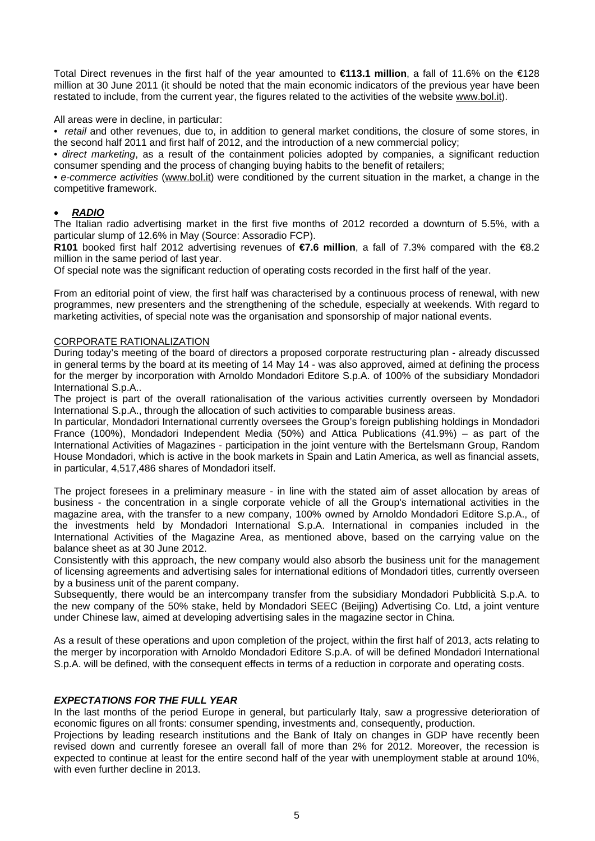Total Direct revenues in the first half of the year amounted to **€113.1 million**, a fall of 11.6% on the €128 million at 30 June 2011 (it should be noted that the main economic indicators of the previous year have been restated to include, from the current year, the figures related to the activities of the website www.bol.it).

All areas were in decline, in particular:

• *retail* and other revenues, due to, in addition to general market conditions, the closure of some stores, in the second half 2011 and first half of 2012, and the introduction of a new commercial policy;

• *direct marketing*, as a result of the containment policies adopted by companies, a significant reduction consumer spending and the process of changing buying habits to the benefit of retailers;

• *e-commerce activities* (www.bol.it) were conditioned by the current situation in the market, a change in the competitive framework.

## *RADIO*

The Italian radio advertising market in the first five months of 2012 recorded a downturn of 5.5%, with a particular slump of 12.6% in May (Source: Assoradio FCP).

**R101** booked first half 2012 advertising revenues of **€7.6 million**, a fall of 7.3% compared with the €8.2 million in the same period of last year.

Of special note was the significant reduction of operating costs recorded in the first half of the year.

From an editorial point of view, the first half was characterised by a continuous process of renewal, with new programmes, new presenters and the strengthening of the schedule, especially at weekends. With regard to marketing activities, of special note was the organisation and sponsorship of major national events.

#### CORPORATE RATIONALIZATION

During today's meeting of the board of directors a proposed corporate restructuring plan - already discussed in general terms by the board at its meeting of 14 May 14 - was also approved, aimed at defining the process for the merger by incorporation with Arnoldo Mondadori Editore S.p.A. of 100% of the subsidiary Mondadori International S.p.A..

The project is part of the overall rationalisation of the various activities currently overseen by Mondadori International S.p.A., through the allocation of such activities to comparable business areas.

In particular, Mondadori International currently oversees the Group's foreign publishing holdings in Mondadori France (100%), Mondadori Independent Media (50%) and Attica Publications (41.9%) – as part of the International Activities of Magazines - participation in the joint venture with the Bertelsmann Group, Random House Mondadori, which is active in the book markets in Spain and Latin America, as well as financial assets, in particular, 4,517,486 shares of Mondadori itself.

The project foresees in a preliminary measure - in line with the stated aim of asset allocation by areas of business - the concentration in a single corporate vehicle of all the Group's international activities in the magazine area, with the transfer to a new company, 100% owned by Arnoldo Mondadori Editore S.p.A., of the investments held by Mondadori International S.p.A. International in companies included in the International Activities of the Magazine Area, as mentioned above, based on the carrying value on the balance sheet as at 30 June 2012.

Consistently with this approach, the new company would also absorb the business unit for the management of licensing agreements and advertising sales for international editions of Mondadori titles, currently overseen by a business unit of the parent company.

Subsequently, there would be an intercompany transfer from the subsidiary Mondadori Pubblicità S.p.A. to the new company of the 50% stake, held by Mondadori SEEC (Beijing) Advertising Co. Ltd, a joint venture under Chinese law, aimed at developing advertising sales in the magazine sector in China.

As a result of these operations and upon completion of the project, within the first half of 2013, acts relating to the merger by incorporation with Arnoldo Mondadori Editore S.p.A. of will be defined Mondadori International S.p.A. will be defined, with the consequent effects in terms of a reduction in corporate and operating costs.

#### *EXPECTATIONS FOR THE FULL YEAR*

In the last months of the period Europe in general, but particularly Italy, saw a progressive deterioration of economic figures on all fronts: consumer spending, investments and, consequently, production.

Projections by leading research institutions and the Bank of Italy on changes in GDP have recently been revised down and currently foresee an overall fall of more than 2% for 2012. Moreover, the recession is expected to continue at least for the entire second half of the year with unemployment stable at around 10%, with even further decline in 2013.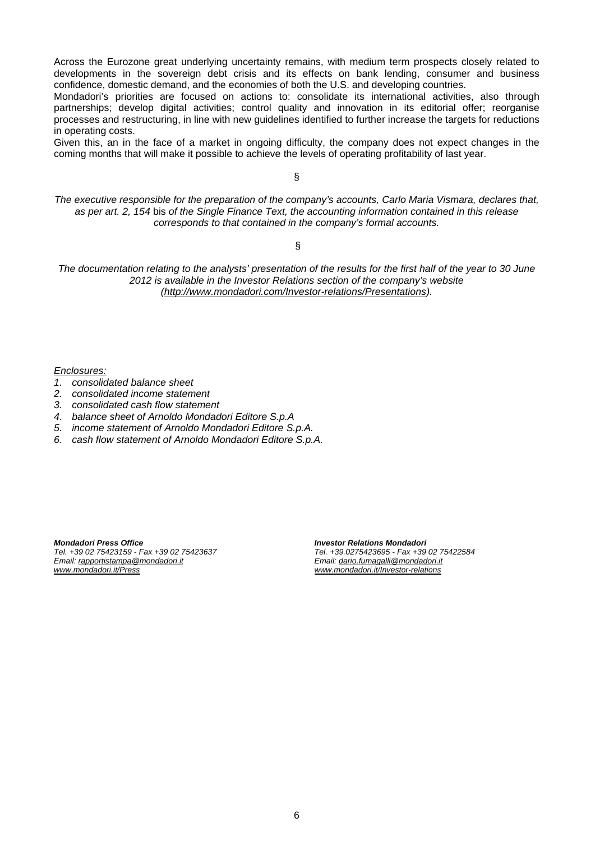Across the Eurozone great underlying uncertainty remains, with medium term prospects closely related to developments in the sovereign debt crisis and its effects on bank lending, consumer and business confidence, domestic demand, and the economies of both the U.S. and developing countries.

Mondadori's priorities are focused on actions to: consolidate its international activities, also through partnerships; develop digital activities; control quality and innovation in its editorial offer; reorganise processes and restructuring, in line with new guidelines identified to further increase the targets for reductions in operating costs.

Given this, an in the face of a market in ongoing difficulty, the company does not expect changes in the coming months that will make it possible to achieve the levels of operating profitability of last year.

§

*The executive responsible for the preparation of the company's accounts, Carlo Maria Vismara, declares that, as per art. 2, 154* bis *of the Single Finance Text, the accounting information contained in this release corresponds to that contained in the company's formal accounts.* 

§

*The documentation relating to the analysts' presentation of the results for the first half of the year to 30 June 2012 is available in the Investor Relations section of the company's website [\(http://www.mondadori.com/Investor-relations/Presentations\)](http://www.mondadori.com/Investor-relations/Presentations).* 

*Enclosures:*

- *1. consolidated balance sheet*
- *2. consolidated income statement*
- *3. consolidated cash flow statement*
- *4. balance sheet of Arnoldo Mondadori Editore S.p.A*
- *5. income statement of Arnoldo Mondadori Editore S.p.A.*
- *6. cash flow statement of Arnoldo Mondadori Editore S.p.A.*

*Mondadori Press Office Tel. +39 02 75423159 - Fax +39 02 75423637 Email: [rapportistampa@mondadori.it](mailto:rapportistampa@mondadori.it) [www.mondadori.it/Press](http://www.mondadori.it/Press)*

*Investor Relations Mondadori Tel. +39.0275423695 - Fax +39 02 75422584 Email: [dario.fumagalli@mondadori.it](mailto:dario.fumagalli@mondadori.it) [www.mondadori.it/Investor-relations](http://www.mondadori.it/Investor-relations)*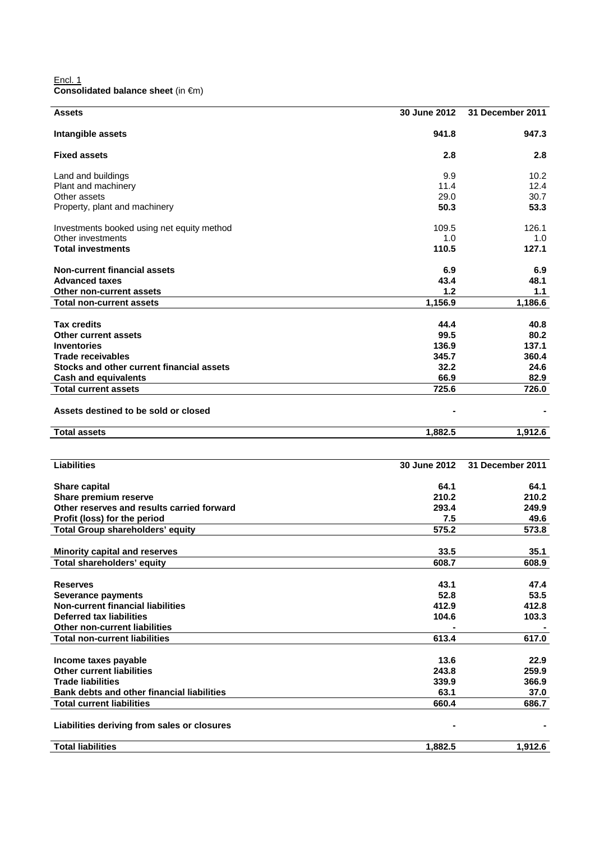Encl. 1 **Consolidated balance sheet** (in €m)

| Assets                                      | 30 June 2012 | 31 December 2011       |
|---------------------------------------------|--------------|------------------------|
| Intangible assets                           | 941.8        | 947.3                  |
| <b>Fixed assets</b>                         | 2.8          | 2.8                    |
| Land and buildings                          | 9.9          | 10.2                   |
| Plant and machinery                         | 11.4         | 12.4                   |
| Other assets                                | 29.0         | 30.7                   |
| Property, plant and machinery               | 50.3         | 53.3                   |
| Investments booked using net equity method  | 109.5        | 126.1                  |
| Other investments                           | 1.0          | 1.0                    |
| <b>Total investments</b>                    | 110.5        | 127.1                  |
| <b>Non-current financial assets</b>         | 6.9          | 6.9                    |
| <b>Advanced taxes</b>                       | 43.4         | 48.1                   |
| Other non-current assets                    | 1.2          | 1.1                    |
| <b>Total non-current assets</b>             | 1,156.9      | 1,186.6                |
| <b>Tax credits</b>                          | 44.4         | 40.8                   |
| <b>Other current assets</b>                 | 99.5         | 80.2                   |
| <b>Inventories</b>                          | 136.9        | 137.1                  |
| <b>Trade receivables</b>                    | 345.7        | 360.4                  |
| Stocks and other current financial assets   | 32.2         | 24.6                   |
| <b>Cash and equivalents</b>                 | 66.9         | 82.9                   |
| <b>Total current assets</b>                 | 725.6        | 726.0                  |
| Assets destined to be sold or closed        |              |                        |
| Total assets                                | 1,882.5      | 1,912.6                |
|                                             |              |                        |
| <b>Liabilities</b>                          | 30 June 2012 | 31 December 2011       |
| Share capital                               | 64.1         | 64.1                   |
| Share premium reserve                       | 210.2        | 210.2                  |
| Other reserves and results carried forward  | 293.4        | 249.9                  |
| Profit (loss) for the period                | 7.5          | 49.6                   |
| <b>Total Group shareholders' equity</b>     | 575.2        | 573.8                  |
|                                             |              |                        |
| <b>Minority capital and reserves</b>        | 33.5         | 35.1                   |
| Total shareholders' equity                  | 608.7        | 608.9                  |
| <b>Reserves</b>                             |              | 47.4                   |
| <b>Severance payments</b>                   | 43.1         |                        |
|                                             | 52.8         | 53.5                   |
| <b>Non-current financial liabilities</b>    | 412.9        | 412.8                  |
| <b>Deferred tax liabilities</b>             | 104.6        |                        |
| Other non-current liabilities               |              | 103.3                  |
| <b>Total non-current liabilities</b>        | 613.4        |                        |
| Income taxes payable                        | 13.6         |                        |
| <b>Other current liabilities</b>            | 243.8        | 617.0<br>22.9<br>259.9 |
| <b>Trade liabilities</b>                    | 339.9        |                        |
| Bank debts and other financial liabilities  | 63.1         | 366.9<br>37.0          |
| <b>Total current liabilities</b>            | 660.4        |                        |
| Liabilities deriving from sales or closures |              | 686.7                  |
| <b>Total liabilities</b>                    | 1,882.5      | 1,912.6                |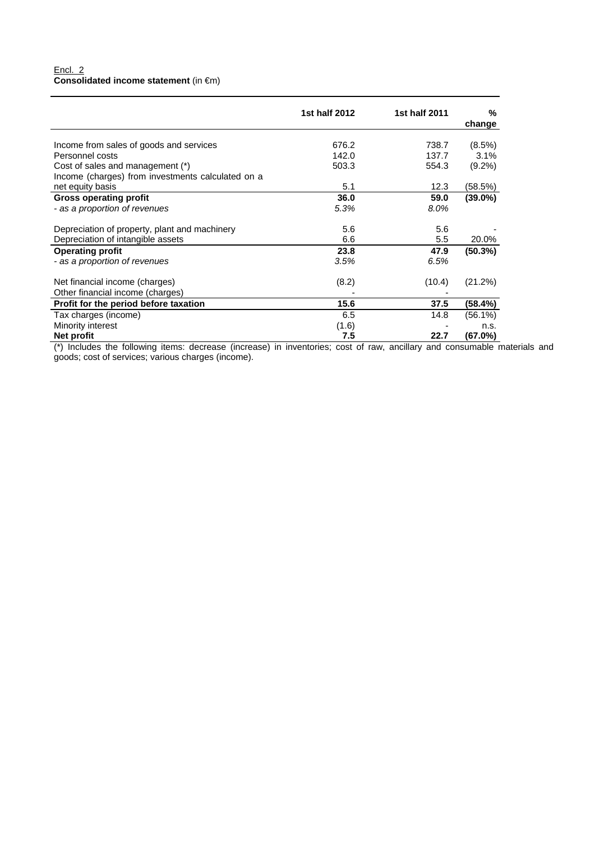### Encl. 2 **Consolidated income statement** (in €m)

|                                                   | 1st half 2012 | 1st half 2011 | %          |
|---------------------------------------------------|---------------|---------------|------------|
|                                                   |               |               | change     |
|                                                   |               |               |            |
| Income from sales of goods and services           | 676.2         | 738.7         | (8.5%)     |
| Personnel costs                                   | 142.0         | 137.7         | 3.1%       |
| Cost of sales and management (*)                  | 503.3         | 554.3         | $(9.2\%)$  |
| Income (charges) from investments calculated on a |               |               |            |
| net equity basis                                  | 5.1           | 12.3          | (58.5%)    |
| <b>Gross operating profit</b>                     | 36.0          | 59.0          | $(39.0\%)$ |
| - as a proportion of revenues                     | 5.3%          | 8.0%          |            |
| Depreciation of property, plant and machinery     | 5.6           | 5.6           |            |
| Depreciation of intangible assets                 | 6.6           | 5.5           | 20.0%      |
| <b>Operating profit</b>                           | 23.8          | 47.9          | $(50.3\%)$ |
| - as a proportion of revenues                     | 3.5%          | 6.5%          |            |
| Net financial income (charges)                    | (8.2)         | (10.4)        | (21.2%)    |
| Other financial income (charges)                  |               |               |            |
| Profit for the period before taxation             | 15.6          | 37.5          | (58.4%)    |
| Tax charges (income)                              | 6.5           | 14.8          | $(56.1\%)$ |
| Minority interest                                 | (1.6)         |               | n.s.       |
| Net profit                                        | 7.5           | 22.7          | (67.0%)    |

(\*) Includes the following items: decrease (increase) in inventories; cost of raw, ancillary and consumable materials and goods; cost of services; various charges (income).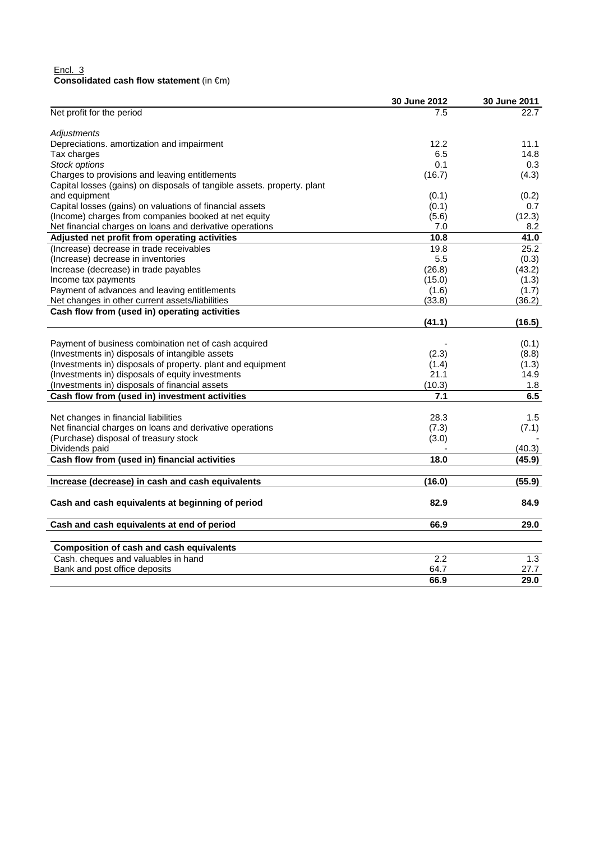### Encl. 3 **Consolidated cash flow statement** (in €m)

|                                                                         | 30 June 2012 | 30 June 2011 |
|-------------------------------------------------------------------------|--------------|--------------|
| Net profit for the period                                               | 7.5          | 22.7         |
| <b>Adjustments</b>                                                      |              |              |
| Depreciations. amortization and impairment                              | 12.2         | 11.1         |
| Tax charges                                                             | 6.5          | 14.8         |
| Stock options                                                           | 0.1          | 0.3          |
| Charges to provisions and leaving entitlements                          | (16.7)       | (4.3)        |
| Capital losses (gains) on disposals of tangible assets. property. plant |              |              |
| and equipment                                                           | (0.1)        | (0.2)        |
| Capital losses (gains) on valuations of financial assets                | (0.1)        | 0.7          |
| (Income) charges from companies booked at net equity                    | (5.6)        | (12.3)       |
| Net financial charges on loans and derivative operations                | 7.0          | 8.2          |
| Adjusted net profit from operating activities                           | 10.8         | 41.0         |
| (Increase) decrease in trade receivables                                | 19.8         | 25.2         |
| (Increase) decrease in inventories                                      | 5.5          | (0.3)        |
| Increase (decrease) in trade payables                                   | (26.8)       | (43.2)       |
| Income tax payments                                                     | (15.0)       | (1.3)        |
| Payment of advances and leaving entitlements                            | (1.6)        | (1.7)        |
| Net changes in other current assets/liabilities                         | (33.8)       | (36.2)       |
| Cash flow from (used in) operating activities                           |              |              |
|                                                                         | (41.1)       | (16.5)       |
|                                                                         |              |              |
| Payment of business combination net of cash acquired                    |              | (0.1)        |
| (Investments in) disposals of intangible assets                         | (2.3)        | (8.8)        |
| (Investments in) disposals of property. plant and equipment             | (1.4)        | (1.3)        |
| (Investments in) disposals of equity investments                        | 21.1         | 14.9         |
| (Investments in) disposals of financial assets                          | (10.3)       | 1.8          |
| Cash flow from (used in) investment activities                          | 7.1          | 6.5          |
|                                                                         |              |              |
| Net changes in financial liabilities                                    | 28.3         | 1.5          |
| Net financial charges on loans and derivative operations                | (7.3)        | (7.1)        |
| (Purchase) disposal of treasury stock                                   | (3.0)        |              |
| Dividends paid                                                          |              | (40.3)       |
| Cash flow from (used in) financial activities                           | 18.0         | (45.9)       |
| Increase (decrease) in cash and cash equivalents                        | (16.0)       | (55.9)       |
|                                                                         |              |              |
| Cash and cash equivalents at beginning of period                        | 82.9         | 84.9         |
| Cash and cash equivalents at end of period                              | 66.9         | 29.0         |
|                                                                         |              |              |
| <b>Composition of cash and cash equivalents</b>                         |              |              |
| Cash. cheques and valuables in hand                                     | 2.2          | 1.3          |
| Bank and post office deposits                                           | 64.7         | 27.7         |
|                                                                         | 66.9         | 29.0         |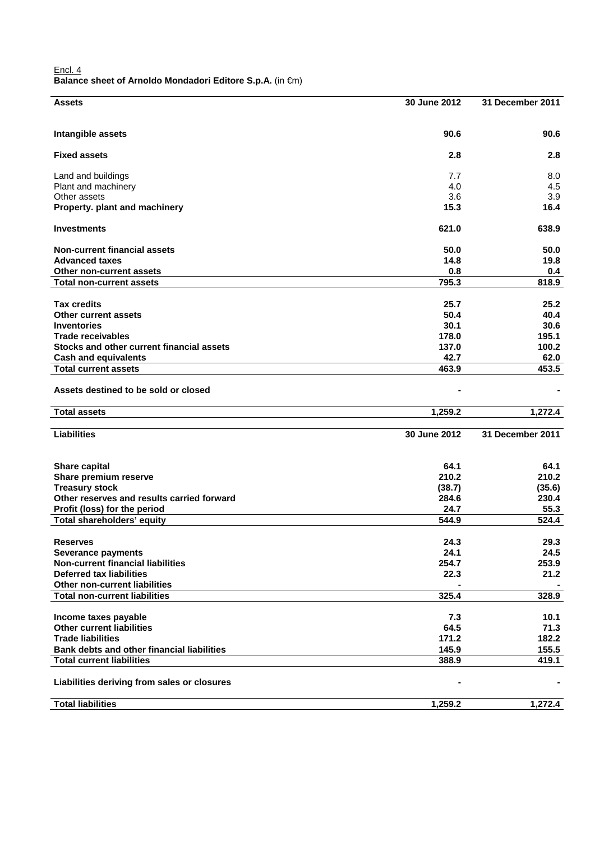| Encl. 4 |                                                           |  |
|---------|-----------------------------------------------------------|--|
|         | Balance sheet of Arnoldo Mondadori Editore S.p.A. (in €m) |  |

| <b>Assets</b>                                     | 30 June 2012  | 31 December 2011 |
|---------------------------------------------------|---------------|------------------|
|                                                   |               |                  |
| Intangible assets                                 | 90.6          | 90.6             |
|                                                   |               |                  |
| <b>Fixed assets</b>                               | 2.8           | 2.8              |
| Land and buildings                                | 7.7           | 8.0              |
| Plant and machinery                               | 4.0           | 4.5              |
| Other assets                                      | 3.6           | 3.9              |
| Property. plant and machinery                     | 15.3          | 16.4             |
| <b>Investments</b>                                | 621.0         | 638.9            |
| <b>Non-current financial assets</b>               | 50.0          | 50.0             |
| <b>Advanced taxes</b>                             | 14.8          | 19.8             |
| Other non-current assets                          | 0.8           | 0.4              |
| <b>Total non-current assets</b>                   | 795.3         | 818.9            |
| <b>Tax credits</b>                                |               |                  |
|                                                   | 25.7<br>50.4  | 25.2<br>40.4     |
| <b>Other current assets</b><br><b>Inventories</b> | 30.1          |                  |
| <b>Trade receivables</b>                          | 178.0         | 30.6             |
|                                                   |               | 195.1            |
| Stocks and other current financial assets         | 137.0<br>42.7 | 100.2            |
| <b>Cash and equivalents</b>                       |               | 62.0             |
| <b>Total current assets</b>                       | 463.9         | 453.5            |
| Assets destined to be sold or closed              |               |                  |
| <b>Total assets</b>                               | 1,259.2       | 1,272.4          |
|                                                   |               |                  |
| <b>Liabilities</b>                                | 30 June 2012  | 31 December 2011 |
|                                                   |               |                  |
| Share capital                                     | 64.1          | 64.1             |
| Share premium reserve                             | 210.2         | 210.2            |
| <b>Treasury stock</b>                             | (38.7)        | (35.6)           |
| Other reserves and results carried forward        | 284.6         | 230.4            |
| Profit (loss) for the period                      | 24.7          | 55.3             |
| Total shareholders' equity                        | 544.9         | 524.4            |
| <b>Reserves</b>                                   | 24.3          | 29.3             |
| Severance payments                                | 24.1          | 24.5             |
| <b>Non-current financial liabilities</b>          | 254.7         | 253.9            |
| <b>Deferred tax liabilities</b>                   | 22.3          | 21.2             |
| Other non-current liabilities                     |               |                  |
| <b>Total non-current liabilities</b>              | 325.4         | 328.9            |
|                                                   |               |                  |
| Income taxes payable                              | 7.3           | 10.1             |
| <b>Other current liabilities</b>                  | 64.5          | 71.3             |
| <b>Trade liabilities</b>                          | 171.2         | 182.2            |
| Bank debts and other financial liabilities        | 145.9         | 155.5            |
| <b>Total current liabilities</b>                  | 388.9         | 419.1            |
| Liabilities deriving from sales or closures       |               |                  |
| <b>Total liabilities</b>                          | 1,259.2       | 1,272.4          |
|                                                   |               |                  |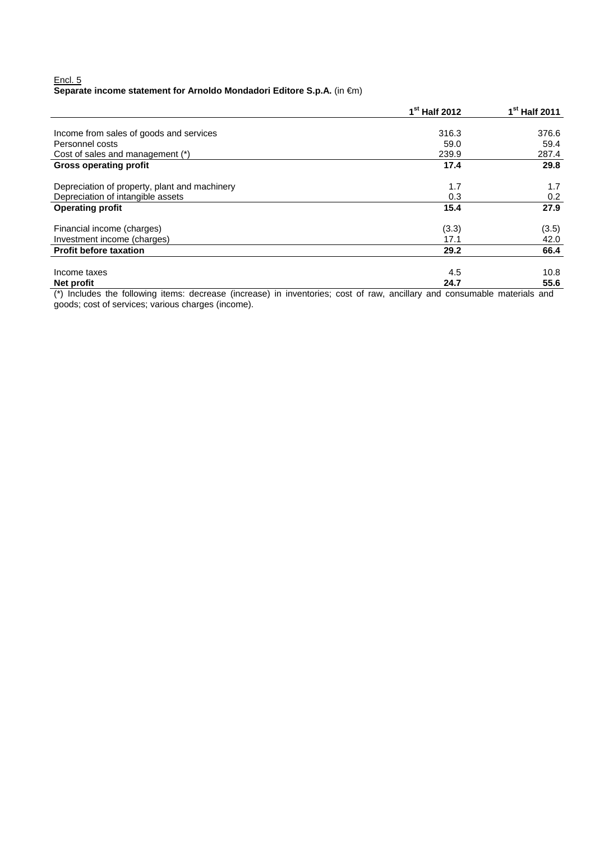### Encl. 5 **Separate income statement for Arnoldo Mondadori Editore S.p.A.** (in €m)

|                                                                                                                                            | 1 <sup>st</sup> Half 2012 | 1 <sup>st</sup> Half 2011                  |
|--------------------------------------------------------------------------------------------------------------------------------------------|---------------------------|--------------------------------------------|
|                                                                                                                                            |                           |                                            |
| Income from sales of goods and services                                                                                                    | 316.3                     | 376.6                                      |
| Personnel costs                                                                                                                            | 59.0                      | 59.4                                       |
| Cost of sales and management (*)                                                                                                           | 239.9                     | 287.4                                      |
| <b>Gross operating profit</b>                                                                                                              | 17.4                      | 29.8                                       |
| Depreciation of property, plant and machinery                                                                                              | 1.7                       | 1.7                                        |
| Depreciation of intangible assets                                                                                                          | 0.3                       | 0.2                                        |
| <b>Operating profit</b>                                                                                                                    | 15.4                      | 27.9                                       |
| Financial income (charges)                                                                                                                 | (3.3)                     | (3.5)                                      |
| Investment income (charges)                                                                                                                | 17.1                      | 42.0                                       |
| <b>Profit before taxation</b>                                                                                                              | 29.2                      | 66.4                                       |
| Income taxes                                                                                                                               | 4.5                       | 10.8                                       |
| <b>Net profit</b><br>$\sim$ $\sim$ $\sim$<br>$\overline{\phantom{a}}$<br>$\sim$ $\sim$ $\sim$ $\sim$ $\sim$ $\sim$<br>$\sim$ $\sim$ $\sim$ | 24.7<br>$\cdots$          | 55.6<br>$\cdot$ $\cdot$<br>$\cdot$ $\cdot$ |

(\*) Includes the following items: decrease (increase) in inventories; cost of raw, ancillary and consumable materials and goods; cost of services; various charges (income).